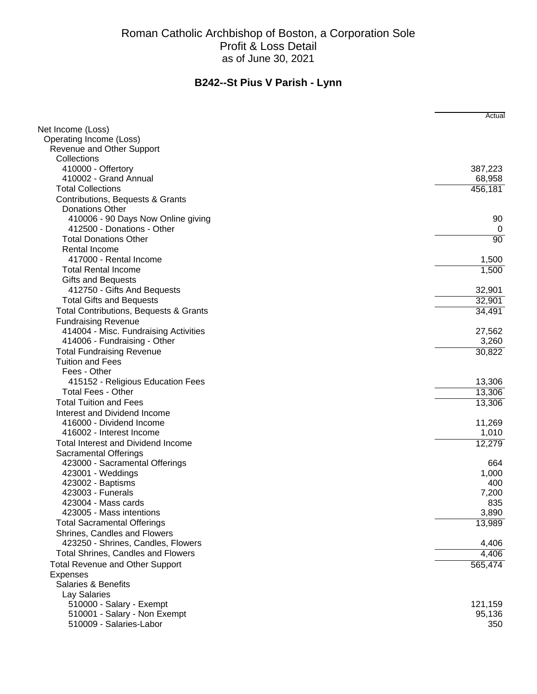|                                           | Actual            |
|-------------------------------------------|-------------------|
| Net Income (Loss)                         |                   |
| Operating Income (Loss)                   |                   |
| Revenue and Other Support<br>Collections  |                   |
| 410000 - Offertory                        | 387,223           |
| 410002 - Grand Annual                     | 68,958            |
| <b>Total Collections</b>                  | 456,181           |
| Contributions, Bequests & Grants          |                   |
| <b>Donations Other</b>                    |                   |
| 410006 - 90 Days Now Online giving        | 90                |
| 412500 - Donations - Other                | 0                 |
| <b>Total Donations Other</b>              | 90                |
| Rental Income                             |                   |
| 417000 - Rental Income                    | 1,500             |
| <b>Total Rental Income</b>                | 1,500             |
| <b>Gifts and Bequests</b>                 |                   |
| 412750 - Gifts And Bequests               | 32,901            |
| <b>Total Gifts and Bequests</b>           | 32,901            |
| Total Contributions, Bequests & Grants    | 34,491            |
| <b>Fundraising Revenue</b>                |                   |
| 414004 - Misc. Fundraising Activities     | 27,562            |
| 414006 - Fundraising - Other              | 3,260             |
| <b>Total Fundraising Revenue</b>          | 30,822            |
| <b>Tuition and Fees</b>                   |                   |
| Fees - Other                              |                   |
| 415152 - Religious Education Fees         | 13,306            |
| <b>Total Fees - Other</b>                 | 13,306            |
| <b>Total Tuition and Fees</b>             | 13,306            |
| Interest and Dividend Income              |                   |
| 416000 - Dividend Income                  | 11,269            |
| 416002 - Interest Income                  | 1,010             |
| <b>Total Interest and Dividend Income</b> | 12,279            |
| <b>Sacramental Offerings</b>              |                   |
| 423000 - Sacramental Offerings            | 664               |
| 423001 - Weddings                         | 1,000             |
| 423002 - Baptisms                         | 400               |
| 423003 - Funerals                         | 7,200             |
| 423004 - Mass cards                       | 835               |
| 423005 - Mass intentions                  | 3,890             |
| <b>Total Sacramental Offerings</b>        | 13,989            |
| Shrines, Candles and Flowers              |                   |
| 423250 - Shrines, Candles, Flowers        | 4,406             |
| <b>Total Shrines, Candles and Flowers</b> | 4,406             |
| <b>Total Revenue and Other Support</b>    | 565,474           |
| <b>Expenses</b>                           |                   |
| <b>Salaries &amp; Benefits</b>            |                   |
| Lay Salaries<br>510000 - Salary - Exempt  |                   |
| 510001 - Salary - Non Exempt              | 121,159<br>95,136 |
| 510009 - Salaries-Labor                   | 350               |
|                                           |                   |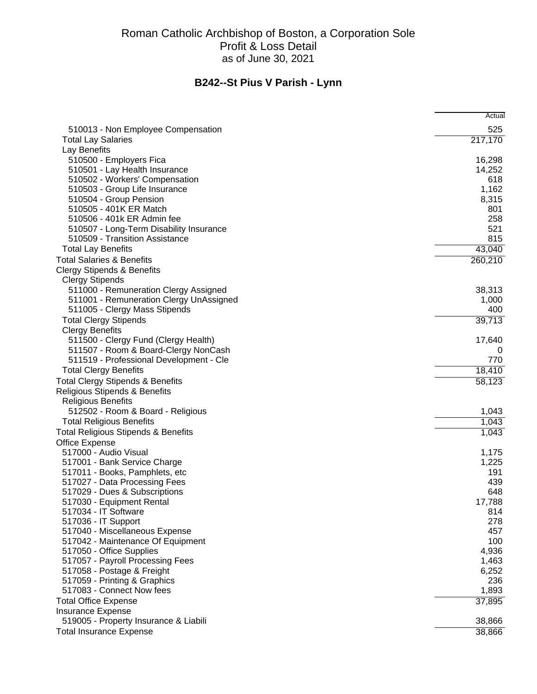|                                                                | Actual     |
|----------------------------------------------------------------|------------|
| 510013 - Non Employee Compensation                             | 525        |
| <b>Total Lay Salaries</b>                                      | 217,170    |
| Lay Benefits                                                   |            |
| 510500 - Employers Fica                                        | 16,298     |
| 510501 - Lay Health Insurance                                  | 14,252     |
| 510502 - Workers' Compensation                                 | 618        |
| 510503 - Group Life Insurance                                  | 1,162      |
| 510504 - Group Pension                                         | 8,315      |
| 510505 - 401K ER Match                                         | 801        |
| 510506 - 401k ER Admin fee                                     | 258        |
| 510507 - Long-Term Disability Insurance                        | 521        |
| 510509 - Transition Assistance                                 | 815        |
| <b>Total Lay Benefits</b>                                      | 43,040     |
| <b>Total Salaries &amp; Benefits</b>                           | 260,210    |
| <b>Clergy Stipends &amp; Benefits</b>                          |            |
| <b>Clergy Stipends</b>                                         |            |
| 511000 - Remuneration Clergy Assigned                          | 38,313     |
| 511001 - Remuneration Clergy UnAssigned                        | 1,000      |
| 511005 - Clergy Mass Stipends                                  | 400        |
| <b>Total Clergy Stipends</b>                                   | 39,713     |
| <b>Clergy Benefits</b>                                         |            |
| 511500 - Clergy Fund (Clergy Health)                           | 17,640     |
| 511507 - Room & Board-Clergy NonCash                           |            |
| 511519 - Professional Development - Cle                        | 770        |
| <b>Total Clergy Benefits</b>                                   | 18,410     |
| <b>Total Clergy Stipends &amp; Benefits</b>                    | 58,123     |
| Religious Stipends & Benefits                                  |            |
| <b>Religious Benefits</b>                                      |            |
| 512502 - Room & Board - Religious                              | 1,043      |
| <b>Total Religious Benefits</b>                                | 1,043      |
| <b>Total Religious Stipends &amp; Benefits</b>                 | 1,043      |
| Office Expense                                                 |            |
| 517000 - Audio Visual                                          | 1,175      |
| 517001 - Bank Service Charge                                   | 1,225      |
| 517011 - Books, Pamphlets, etc                                 | 191        |
| 517027 - Data Processing Fees<br>517029 - Dues & Subscriptions | 439<br>648 |
| 517030 - Equipment Rental                                      | 17,788     |
| 517034 - IT Software                                           | 814        |
| 517036 - IT Support                                            | 278        |
| 517040 - Miscellaneous Expense                                 | 457        |
| 517042 - Maintenance Of Equipment                              | 100        |
| 517050 - Office Supplies                                       | 4,936      |
| 517057 - Payroll Processing Fees                               | 1,463      |
| 517058 - Postage & Freight                                     | 6,252      |
| 517059 - Printing & Graphics                                   | 236        |
| 517083 - Connect Now fees                                      | 1,893      |
| <b>Total Office Expense</b>                                    | 37,895     |
| <b>Insurance Expense</b>                                       |            |
| 519005 - Property Insurance & Liabili                          | 38,866     |
| <b>Total Insurance Expense</b>                                 | 38,866     |
|                                                                |            |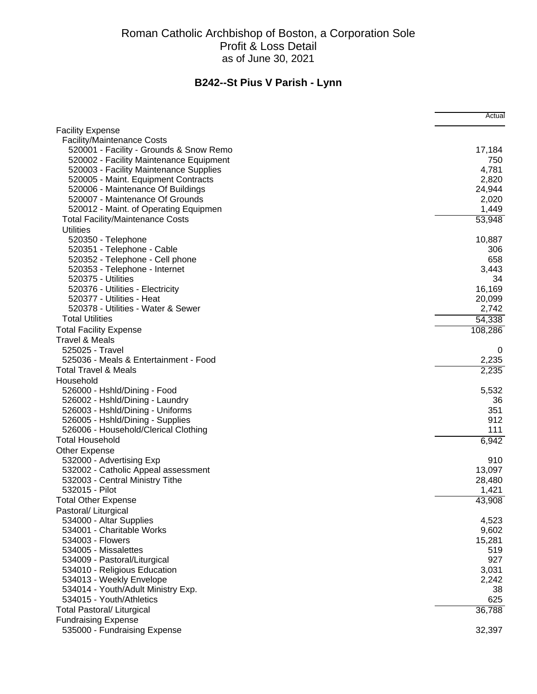|                                         | Actual  |
|-----------------------------------------|---------|
| <b>Facility Expense</b>                 |         |
| <b>Facility/Maintenance Costs</b>       |         |
| 520001 - Facility - Grounds & Snow Remo | 17,184  |
| 520002 - Facility Maintenance Equipment | 750     |
| 520003 - Facility Maintenance Supplies  | 4,781   |
| 520005 - Maint. Equipment Contracts     | 2,820   |
| 520006 - Maintenance Of Buildings       | 24,944  |
| 520007 - Maintenance Of Grounds         | 2,020   |
| 520012 - Maint. of Operating Equipmen   | 1,449   |
| <b>Total Facility/Maintenance Costs</b> | 53,948  |
| <b>Utilities</b>                        |         |
| 520350 - Telephone                      | 10,887  |
| 520351 - Telephone - Cable              | 306     |
| 520352 - Telephone - Cell phone         | 658     |
| 520353 - Telephone - Internet           | 3,443   |
| 520375 - Utilities                      | 34      |
| 520376 - Utilities - Electricity        | 16,169  |
| 520377 - Utilities - Heat               | 20,099  |
| 520378 - Utilities - Water & Sewer      | 2,742   |
| <b>Total Utilities</b>                  | 54,338  |
| <b>Total Facility Expense</b>           | 108,286 |
| <b>Travel &amp; Meals</b>               |         |
| 525025 - Travel                         | 0       |
| 525036 - Meals & Entertainment - Food   | 2,235   |
| <b>Total Travel &amp; Meals</b>         | 2,235   |
| Household                               |         |
| 526000 - Hshld/Dining - Food            | 5,532   |
| 526002 - Hshld/Dining - Laundry         | 36      |
| 526003 - Hshld/Dining - Uniforms        | 351     |
| 526005 - Hshld/Dining - Supplies        | 912     |
| 526006 - Household/Clerical Clothing    | 111     |
| <b>Total Household</b>                  | 6,942   |
| Other Expense                           |         |
| 532000 - Advertising Exp                | 910     |
| 532002 - Catholic Appeal assessment     | 13,097  |
| 532003 - Central Ministry Tithe         | 28,480  |
| 532015 - Pilot                          | 1,421   |
| <b>Total Other Expense</b>              | 43,908  |
| Pastoral/ Liturgical                    |         |
| 534000 - Altar Supplies                 | 4,523   |
| 534001 - Charitable Works               | 9,602   |
| 534003 - Flowers                        | 15,281  |
| 534005 - Missalettes                    | 519     |
| 534009 - Pastoral/Liturgical            | 927     |
| 534010 - Religious Education            | 3,031   |
| 534013 - Weekly Envelope                | 2,242   |
| 534014 - Youth/Adult Ministry Exp.      | 38      |
| 534015 - Youth/Athletics                | 625     |
| <b>Total Pastoral/ Liturgical</b>       | 36,788  |
| <b>Fundraising Expense</b>              |         |
| 535000 - Fundraising Expense            | 32,397  |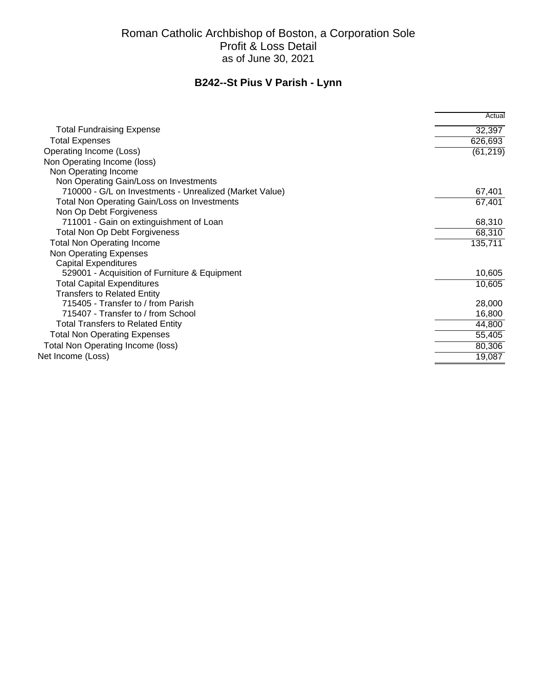|                                                         | Actual    |
|---------------------------------------------------------|-----------|
| <b>Total Fundraising Expense</b>                        | 32,397    |
| <b>Total Expenses</b>                                   | 626,693   |
| Operating Income (Loss)                                 | (61, 219) |
| Non Operating Income (loss)                             |           |
| Non Operating Income                                    |           |
| Non Operating Gain/Loss on Investments                  |           |
| 710000 - G/L on Investments - Unrealized (Market Value) | 67,401    |
| Total Non Operating Gain/Loss on Investments            | 67,401    |
| Non Op Debt Forgiveness                                 |           |
| 711001 - Gain on extinguishment of Loan                 | 68,310    |
| Total Non Op Debt Forgiveness                           | 68,310    |
| <b>Total Non Operating Income</b>                       | 135,711   |
| Non Operating Expenses                                  |           |
| <b>Capital Expenditures</b>                             |           |
| 529001 - Acquisition of Furniture & Equipment           | 10,605    |
| <b>Total Capital Expenditures</b>                       | 10,605    |
| <b>Transfers to Related Entity</b>                      |           |
| 715405 - Transfer to / from Parish                      | 28,000    |
| 715407 - Transfer to / from School                      | 16,800    |
| <b>Total Transfers to Related Entity</b>                | 44,800    |
| <b>Total Non Operating Expenses</b>                     | 55,405    |
| <b>Total Non Operating Income (loss)</b>                | 80,306    |
| Net Income (Loss)                                       | 19,087    |
|                                                         |           |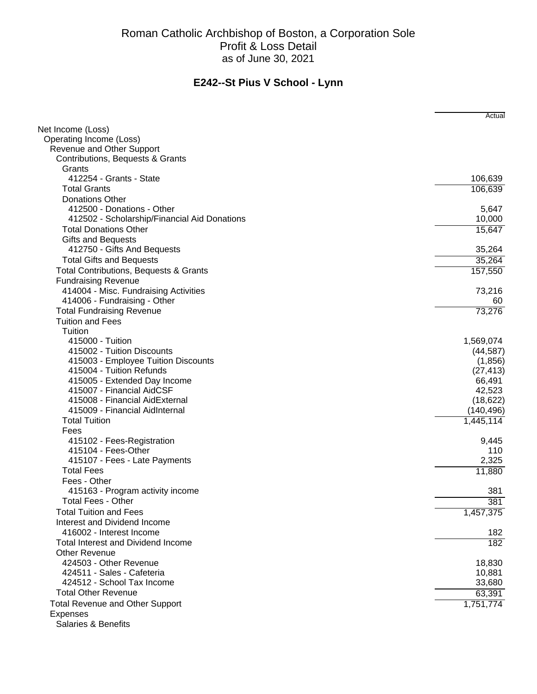|                                              | Actual     |
|----------------------------------------------|------------|
| Net Income (Loss)                            |            |
| Operating Income (Loss)                      |            |
| Revenue and Other Support                    |            |
| Contributions, Bequests & Grants             |            |
| Grants                                       |            |
| 412254 - Grants - State                      | 106,639    |
| <b>Total Grants</b>                          | 106,639    |
| <b>Donations Other</b>                       |            |
| 412500 - Donations - Other                   | 5,647      |
| 412502 - Scholarship/Financial Aid Donations | 10,000     |
| <b>Total Donations Other</b>                 | 15,647     |
| <b>Gifts and Bequests</b>                    |            |
| 412750 - Gifts And Bequests                  | 35,264     |
| <b>Total Gifts and Bequests</b>              | 35,264     |
| Total Contributions, Bequests & Grants       | 157,550    |
| <b>Fundraising Revenue</b>                   |            |
| 414004 - Misc. Fundraising Activities        | 73,216     |
| 414006 - Fundraising - Other                 | 60         |
| <b>Total Fundraising Revenue</b>             | 73,276     |
| <b>Tuition and Fees</b>                      |            |
| Tuition                                      |            |
| 415000 - Tuition                             | 1,569,074  |
| 415002 - Tuition Discounts                   | (44, 587)  |
| 415003 - Employee Tuition Discounts          | (1,856)    |
| 415004 - Tuition Refunds                     | (27, 413)  |
| 415005 - Extended Day Income                 | 66,491     |
| 415007 - Financial AidCSF                    | 42,523     |
| 415008 - Financial AidExternal               | (18, 622)  |
| 415009 - Financial AidInternal               | (140, 496) |
| <b>Total Tuition</b>                         | 1,445,114  |
| Fees                                         |            |
| 415102 - Fees-Registration                   | 9,445      |
| 415104 - Fees-Other                          | 110        |
| 415107 - Fees - Late Payments                | 2,325      |
| <b>Total Fees</b>                            | 11,880     |
| Fees - Other                                 |            |
| 415163 - Program activity income             | 381        |
| <b>Total Fees - Other</b>                    | 381        |
| <b>Total Tuition and Fees</b>                | 1,457,375  |
| Interest and Dividend Income                 |            |
| 416002 - Interest Income                     | 182        |
| <b>Total Interest and Dividend Income</b>    | 182        |
| <b>Other Revenue</b>                         |            |
| 424503 - Other Revenue                       | 18,830     |
| 424511 - Sales - Cafeteria                   | 10,881     |
| 424512 - School Tax Income                   | 33,680     |
| <b>Total Other Revenue</b>                   | 63,391     |
| <b>Total Revenue and Other Support</b>       | 1,751,774  |
| <b>Expenses</b>                              |            |
| <b>Salaries &amp; Benefits</b>               |            |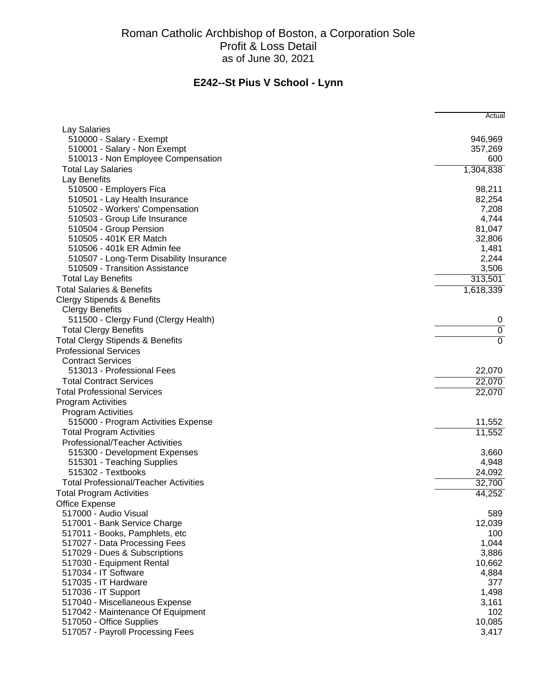|                                                        | Actual           |
|--------------------------------------------------------|------------------|
| Lay Salaries                                           |                  |
| 510000 - Salary - Exempt                               | 946,969          |
| 510001 - Salary - Non Exempt                           | 357,269          |
| 510013 - Non Employee Compensation                     | 600              |
| <b>Total Lay Salaries</b>                              | 1,304,838        |
| Lay Benefits                                           |                  |
| 510500 - Employers Fica                                | 98,211           |
| 510501 - Lay Health Insurance                          | 82,254           |
| 510502 - Workers' Compensation                         | 7,208            |
| 510503 - Group Life Insurance                          | 4,744            |
| 510504 - Group Pension                                 | 81,047           |
| 510505 - 401K ER Match                                 | 32,806           |
| 510506 - 401k ER Admin fee                             | 1,481            |
| 510507 - Long-Term Disability Insurance                | 2,244            |
| 510509 - Transition Assistance                         | 3,506            |
| <b>Total Lay Benefits</b>                              | 313,501          |
| <b>Total Salaries &amp; Benefits</b>                   | 1,618,339        |
| <b>Clergy Stipends &amp; Benefits</b>                  |                  |
| <b>Clergy Benefits</b>                                 |                  |
| 511500 - Clergy Fund (Clergy Health)                   | 0                |
| <b>Total Clergy Benefits</b>                           | $\overline{0}$   |
| <b>Total Clergy Stipends &amp; Benefits</b>            | $\overline{0}$   |
| <b>Professional Services</b>                           |                  |
| <b>Contract Services</b><br>513013 - Professional Fees |                  |
| <b>Total Contract Services</b>                         | 22,070<br>22,070 |
| <b>Total Professional Services</b>                     |                  |
| Program Activities                                     | 22,070           |
| <b>Program Activities</b>                              |                  |
| 515000 - Program Activities Expense                    | 11,552           |
| <b>Total Program Activities</b>                        | 11,552           |
| Professional/Teacher Activities                        |                  |
| 515300 - Development Expenses                          | 3,660            |
| 515301 - Teaching Supplies                             | 4,948            |
| 515302 - Textbooks                                     | 24,092           |
| <b>Total Professional/Teacher Activities</b>           | 32,700           |
| <b>Total Program Activities</b>                        | 44,252           |
| Office Expense                                         |                  |
| 517000 - Audio Visual                                  | 589              |
| 517001 - Bank Service Charge                           | 12,039           |
| 517011 - Books, Pamphlets, etc                         | 100              |
| 517027 - Data Processing Fees                          | 1,044            |
| 517029 - Dues & Subscriptions                          | 3,886            |
| 517030 - Equipment Rental                              | 10,662           |
| 517034 - IT Software                                   | 4,884            |
| 517035 - IT Hardware                                   | 377              |
| 517036 - IT Support                                    | 1,498            |
| 517040 - Miscellaneous Expense                         | 3,161            |
| 517042 - Maintenance Of Equipment                      | 102              |
| 517050 - Office Supplies                               | 10,085           |
| 517057 - Payroll Processing Fees                       | 3,417            |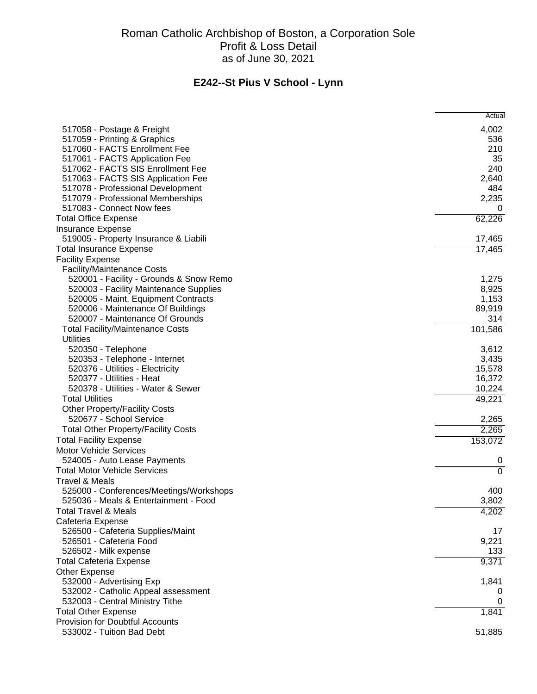|                                            | Actual         |
|--------------------------------------------|----------------|
| 517058 - Postage & Freight                 | 4,002          |
| 517059 - Printing & Graphics               | 536            |
| 517060 - FACTS Enrollment Fee              | 210            |
| 517061 - FACTS Application Fee             | 35             |
| 517062 - FACTS SIS Enrollment Fee          | 240            |
| 517063 - FACTS SIS Application Fee         | 2,640          |
| 517078 - Professional Development          | 484            |
| 517079 - Professional Memberships          | 2,235          |
| 517083 - Connect Now fees                  | 0              |
| <b>Total Office Expense</b>                | 62,226         |
| <b>Insurance Expense</b>                   |                |
| 519005 - Property Insurance & Liabili      | 17,465         |
| <b>Total Insurance Expense</b>             | 17,465         |
| <b>Facility Expense</b>                    |                |
| <b>Facility/Maintenance Costs</b>          |                |
| 520001 - Facility - Grounds & Snow Remo    | 1,275          |
| 520003 - Facility Maintenance Supplies     | 8,925          |
| 520005 - Maint. Equipment Contracts        | 1,153          |
| 520006 - Maintenance Of Buildings          | 89,919         |
| 520007 - Maintenance Of Grounds            | 314            |
| <b>Total Facility/Maintenance Costs</b>    | 101,586        |
| <b>Utilities</b>                           |                |
| 520350 - Telephone                         | 3,612          |
| 520353 - Telephone - Internet              | 3,435          |
| 520376 - Utilities - Electricity           | 15,578         |
| 520377 - Utilities - Heat                  | 16,372         |
| 520378 - Utilities - Water & Sewer         | 10,224         |
| <b>Total Utilities</b>                     | 49,221         |
| <b>Other Property/Facility Costs</b>       |                |
| 520677 - School Service                    | 2,265          |
| <b>Total Other Property/Facility Costs</b> | 2,265          |
| <b>Total Facility Expense</b>              | 153,072        |
| <b>Motor Vehicle Services</b>              |                |
| 524005 - Auto Lease Payments               | 0              |
| <b>Total Motor Vehicle Services</b>        | $\overline{0}$ |
| Travel & Meals                             |                |
| 525000 - Conferences/Meetings/Workshops    | 400            |
| 525036 - Meals & Entertainment - Food      | 3,802          |
| <b>Total Travel &amp; Meals</b>            | 4,202          |
| Cafeteria Expense                          |                |
| 526500 - Cafeteria Supplies/Maint          | 17             |
| 526501 - Cafeteria Food                    | 9,221          |
| 526502 - Milk expense                      | 133            |
| <b>Total Cafeteria Expense</b>             | 9,371          |
| Other Expense                              |                |
| 532000 - Advertising Exp                   | 1,841          |
| 532002 - Catholic Appeal assessment        |                |
| 532003 - Central Ministry Tithe            |                |
| <b>Total Other Expense</b>                 | 1,841          |
| Provision for Doubtful Accounts            |                |
| 533002 - Tuition Bad Debt                  | 51,885         |